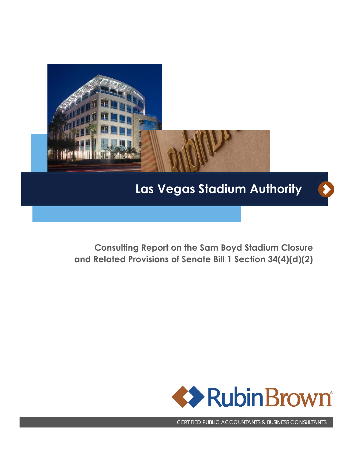

# **Las Vegas Stadium Authority**

 $\blacktriangleright$ 

**Consulting Report on the Sam Boyd Stadium Closure and Related Provisions of Senate Bill 1 Section 34(4)(d)(2)** 



CERTIFIED PUBLIC ACCOUNTANTS & BUSINESS CONSULTANTS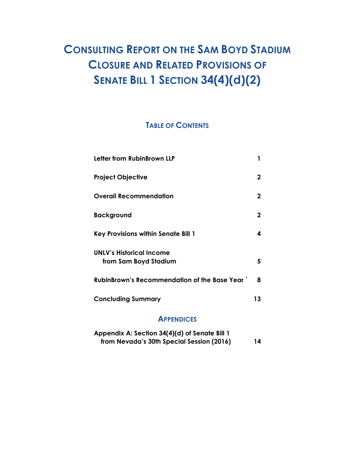# **CONSULTING REPORT ON THE SAM BOYD STADIUM CLOSURE AND RELATED PROVISIONS OF SENATE BILL 1 SECTION 34(4)(d)(2)**

# **TABLE OF CONTENTS**

| Letter from RubinBrown LLP                          | 1           |
|-----------------------------------------------------|-------------|
| <b>Project Objective</b>                            | $\mathbf 2$ |
| <b>Overall Recommendation</b>                       | $\mathbf 2$ |
| <b>Background</b>                                   | $\mathbf 2$ |
| Key Provisions within Senate Bill 1                 | 4           |
| <b>UNLV's Historical Income</b>                     |             |
| from Sam Boyd Stadium                               | 5           |
| <b>RubinBrown's Recommendation of the Base Year</b> | 8           |
| <b>Concluding Summary</b>                           | 13          |
|                                                     |             |

### **APPENDICES**

| Appendix A: Section 34(4)(d) of Senate Bill 1 |    |
|-----------------------------------------------|----|
| from Nevada's 30th Special Session (2016)     | 14 |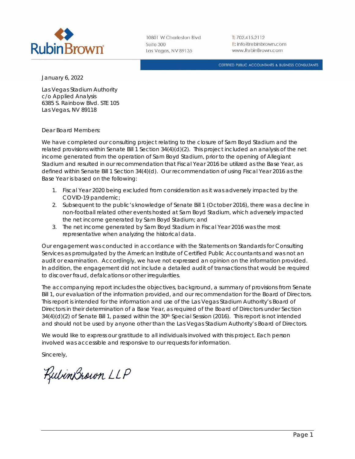

10801 W Charleston Blvd Suite 300 Las Vegas, NV 89135

 $T: 702.415.2112$ E: info@rubinbrown.com www.RubinBrown.com

CERTIFIED PUBLIC ACCOUNTANTS & BUSINESS CONSULTANTS

January 6, 2022

Las Vegas Stadium Authority c/o Applied Analysis 6385 S. Rainbow Blvd. STE 105 Las Vegas, NV 89118

Dear Board Members:

We have completed our consulting project relating to the closure of Sam Boyd Stadium and the related provisions within Senate Bill 1 Section 34(4)(d)(2). This project included an analysis of the net income generated from the operation of Sam Boyd Stadium, prior to the opening of Allegiant Stadium and resulted in our recommendation that Fiscal Year 2016 be utilized as the Base Year, as defined within Senate Bill 1 Section 34(4)(d). Our recommendation of using Fiscal Year 2016 as the Base Year is based on the following:

- 1. Fiscal Year 2020 being excluded from consideration as it was adversely impacted by the COVID-19 pandemic;
- 2. Subsequent to the public's knowledge of Senate Bill 1 (October 2016), there was a decline in non-football related other events hosted at Sam Boyd Stadium, which adversely impacted the net income generated by Sam Boyd Stadium; and
- 3. The net income generated by Sam Boyd Stadium in Fiscal Year 2016 was the most representative when analyzing the historical data.

Our engagement was conducted in accordance with the Statements on Standards for Consulting Services as promulgated by the American Institute of Certified Public Accountants and was not an audit or examination. Accordingly, we have not expressed an opinion on the information provided. In addition, the engagement did not include a detailed audit of transactions that would be required to discover fraud, defalcations or other irregularities.

The accompanying report includes the objectives, background, a summary of provisions from Senate Bill 1, our evaluation of the information provided, and our recommendation for the Board of Directors. This report is intended for the information and use of the Las Vegas Stadium Authority's Board of Directors in their determination of a Base Year, as required of the Board of Directors under Section  $34(4)(d)(2)$  of Senate Bill 1, passed within the  $30<sup>th</sup>$  Special Session (2016). This report is not intended and should not be used by anyone other than the Las Vegas Stadium Authority's Board of Directors.

We would like to express our gratitude to all individuals involved with this project. Each person involved was accessible and responsive to our requests for information.

Sincerely,

KulinBrown LLP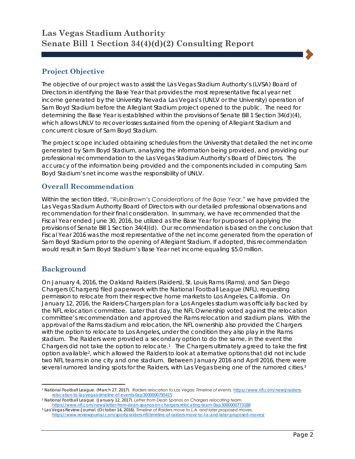# **Project Objective**

The objective of our project was to assist the Las Vegas Stadium Authority's (LVSA) Board of Directors in identifying the Base Year that provides the most representative fiscal year net income generated by the University Nevada Las Vegas's (UNLV or the University) operation of Sam Boyd Stadium before the Allegiant Stadium project opened to the public. The need for determining the Base Year is established within the provisions of Senate Bill 1 Section 34(d)(4), which allows UNLV to recover losses sustained from the opening of Allegiant Stadium and concurrent closure of Sam Boyd Stadium.

The project scope included obtaining schedules from the University that detailed the net income generated by Sam Boyd Stadium, analyzing the information being provided, and providing our professional recommendation to the Las Vegas Stadium Authority's Board of Directors. The accuracy of the information being provided and the components included in computing Sam Boyd Stadium's net income was the responsibility of UNLV.

## **Overall Recommendation**

Within the section titled, *"RubinBrown's Considerations of the Base Year,"* we have provided the Las Vegas Stadium Authority Board of Directors with our detailed professional observations and recommendation for their final consideration. In summary, we have recommended that the Fiscal Year ended June 30, 2016, be utilized as the Base Year for purposes of applying the provisions of Senate Bill 1 Section 34(4)(d). Our recommendation is based on the conclusion that Fiscal Year 2016 was the most representative of the net income generated from the operation of Sam Boyd Stadium prior to the opening of Allegiant Stadium. If adopted, this recommendation would result in Sam Boyd Stadium's Base Year net income equaling \$5.0 million.

## **Background**

On January 4, 2016, the Oakland Raiders (Raiders), St. Louis Rams (Rams), and San Diego Chargers (Chargers) filed paperwork with the National Football League (NFL), requesting permission to relocate from their respective home markets to Los Angeles, California. On January 12, 2016, the Raiders-Chargers plan for a Los Angeles stadium was officially backed by the NFL relocation committee. Later that day, the NFL Ownership voted against the relocation committee's recommendation and approved the Rams relocation and stadium plans. With the approval of the Rams stadium and relocation, the NFL ownership also provided the Chargers with the option to relocate to Los Angeles, under the condition they also play in the Rams stadium. The Raiders were provided a secondary option to do the same, in the event the Chargers did not take the option to relocate.1 The Chargers ultimately agreed to take the first option available2, which allowed the Raiders to look at alternative options that did not include two NFL teams in one city and one stadium. Between January 2016 and April 2016, there were several rumored landing spots for the Raiders, with Las Vegas being one of the rumored cities.3

 $\overline{a}$ <sup>1</sup> National Football League. (March 27, 2017). *Raiders relocation to Las Vegas: Timeline of events.* https://www.nfl.com/news/raiders-<br>relocation-to-las-vegas-timeline-of-events-0ap3000000795415

<sup>&</sup>lt;sup>2</sup> National Football League. (January 12, 2017). Letter from Dean Spanos on Chargers relocating team. https://www.nfl.com/news/letter-from-dean-spanos-on-chargers-relocating-team-0ap3000000773188 3 Las Vegas Review-Journal. (October 14, 2016). *Timeline of Raiders move to L.A. and later proposed moves.* 

https://www.reviewjournal.com/sports/raiders-nfl/timeline-of-raiders-move-to-l-a-and-later-proposed-moves/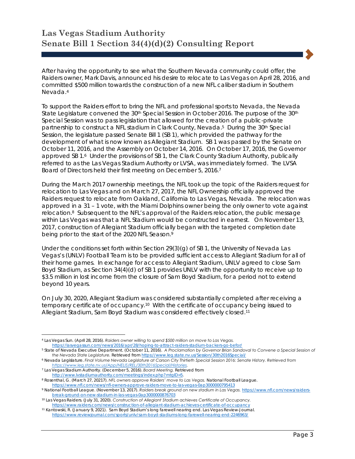After having the opportunity to see what the Southern Nevada community could offer, the Raiders owner, Mark Davis, announced his desire to relocate to Las Vegas on April 28, 2016, and committed \$500 million towards the construction of a new NFL caliber stadium in Southern Nevada.4

To support the Raiders effort to bring the NFL and professional sports to Nevada, the Nevada State Legislature convened the 30<sup>th</sup> Special Session in October 2016. The purpose of the 30<sup>th</sup> Special Session was to pass legislation that allowed for the creation of a public-private partnership to construct a NFL stadium in Clark County, Nevada.<sup>5</sup> During the 30<sup>th</sup> Special Session, the legislature passed Senate Bill 1 (SB 1), which provided the pathway for the development of what is now known as Allegiant Stadium. SB 1 was passed by the Senate on October 11, 2016, and the Assembly on October 14, 2016. On October 17, 2016, the Governor approved SB 1.6 Under the provisions of SB 1, the Clark County Stadium Authority, publically referred to as the Las Vegas Stadium Authority or LVSA, was immediately formed. The LVSA Board of Directors held their first meeting on December 5, 2016.7

During the March 2017 ownership meetings, the NFL took up the topic of the Raiders request for relocation to Las Vegas and on March 27, 2017, the NFL Ownership officially approved the Raiders request to relocate from Oakland, California to Las Vegas, Nevada. The relocation was approved in a 31 – 1 vote, with the Miami Dolphins owner being the only owner to vote against relocation.8 Subsequent to the NFL's approval of the Raiders relocation, the public message within Las Vegas was that a NFL Stadium would be constructed in earnest. On November 13, 2017, construction of Allegiant Stadium officially began with the targeted completion date being prior to the start of the 2020 NFL Season.9

Under the conditions set forth within Section 29(3)(g) of SB 1, the University of Nevada Las Vegas's (UNLV) Football Team is to be provided sufficient access to Allegiant Stadium for all of their home games. In exchange for access to Allegiant Stadium, UNLV agreed to close Sam Boyd Stadium, as Section 34(4)(d) of SB 1 provides UNLV with the opportunity to receive up to \$3.5 million in lost income from the closure of Sam Boyd Stadium, for a period not to extend beyond 10 years.

On July 30, 2020, Allegiant Stadium was considered substantially completed after receiving a temporary certificate of occupancy.10 With the certificate of occupancy being issued to Allegiant Stadium, Sam Boyd Stadium was considered effectively closed.11

 $\overline{\phantom{a}}$ 

<sup>4</sup> Las Vegas Sun. (April 28, 2016). *Raiders owner willing to spend \$500 million on move to Las Vegas.*

https://lasvegassun.com/news/2016/apr/28/hoping-to-attract-raiders-stadium-backers-go-befor/<br>5 State of Nevada Executive Department. (October 11, 2016). A Proclamation by Governor Brian Sandoval to Convene a Special Sessio *the Nevada State Legislature.* Retrieved from https://www.leg.state.nv.us/Session/30th2016Special/

<sup>6</sup> Nevada Legislature. *Final Volume Nevada Legislature at Carson City Thirtieth Special Session 2016: Senate History. Retrieved from https://www.leg.state.nv.us/App/NELIS/REL/30th2016Special/Histories.* 

<sup>7</sup> Las Vegas Stadium Authority. (December 5, 2016). *Board Meeting.* Retrieved from

http://www.lvstadiumauthority.com/meetings/index.php?mtgID=5. 8 Rosenthal, G. (March 27, 20217). *NFL owners approve Raiders' move to Las Vegas.* National Football League.

https://www.nfl.com/news/nfl-owners-approve-raiders-move-to-las-vegas-0ap3000000795413 9 National Football League. (November 13, 2017). *Raiders break ground on new stadium in Las Vegas.* https://www.nfl.com/news/raiders-

<sup>&</sup>lt;sup>10</sup> Las Vegas Raiders. (July 31, 2020). Construction of Allegiant Stadium achieves Certificate of Occupancy. https://www.raiders.com/news/construction-of-allegiant-stadium-achieves-certificate-of-occupancy 11 Kantowski, R. (January 9, 2021). Sam Boyd Stadium's long farewell nearing end. Las Vegas Review-Journal.

https://www.reviewjournal.com/sports/unlv/sam-boyd-stadiums-long-farewell-nearing-end-2246963/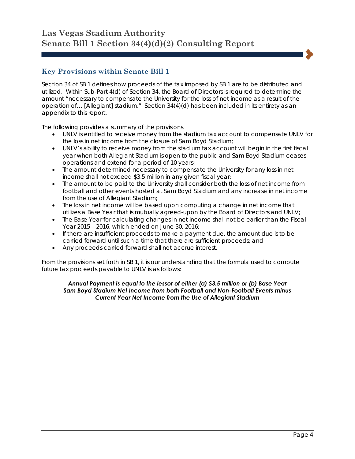## **Key Provisions within Senate Bill 1**

Section 34 of SB 1 defines how proceeds of the tax imposed by SB 1 are to be distributed and utilized. Within Sub-Part 4(d) of Section 34, the Board of Directors is required to determine the amount "necessary to compensate the University for the loss of net income as a result of the operation of… [Allegiant] stadium." Section 34(4)(d) has been included in its entirety as an appendix to this report.

The following provides a summary of the provisions.

- UNLV is entitled to receive money from the stadium tax account to compensate UNLV for the loss in net income from the closure of Sam Boyd Stadium;
- UNLV's ability to receive money from the stadium tax account will begin in the first fiscal year when both Allegiant Stadium is open to the public and Sam Boyd Stadium ceases operations and extend for a period of 10 years;
- The amount determined necessary to compensate the University for any loss in net income shall not exceed \$3.5 million in any given fiscal year;
- The amount to be paid to the University shall consider both the loss of net income from football and other events hosted at Sam Boyd Stadium and any increase in net income from the use of Allegiant Stadium;
- The loss in net income will be based upon computing a change in net income that utilizes a Base Year that is mutually agreed-upon by the Board of Directors and UNLV;
- The Base Year for calculating changes in net income shall not be earlier than the Fiscal Year 2015 – 2016, which ended on June 30, 2016;
- If there are insufficient proceeds to make a payment due, the amount due is to be carried forward until such a time that there are sufficient proceeds; and
- Any proceeds carried forward shall not accrue interest.

From the provisions set forth in SB 1, it is our understanding that the formula used to compute future tax proceeds payable to UNLV is as follows:

#### *Annual Payment is equal to the lessor of either (a) \$3.5 million or (b) Base Year Sam Boyd Stadium Net Income from both Football and Non-Football Events minus Current Year Net Income from the Use of Allegiant Stadium*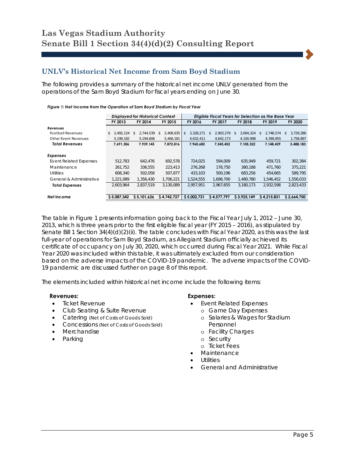### **UNLV's Historical Net Income from Sam Boyd Stadium**

The following provides a summary of the historical net income UNLV generated from the operations of the Sam Boyd Stadium for fiscal years ending on June 30.

|                               |                 | <b>Displayed for Historical Context</b> |                  | Eligible Fiscal Years for Selection as the Base Year |            |             |                  |                  |  |
|-------------------------------|-----------------|-----------------------------------------|------------------|------------------------------------------------------|------------|-------------|------------------|------------------|--|
|                               | FY 2013         | FY 2014                                 |                  | FY 2016<br>FY 2017                                   |            | FY 2018     | FY 2019          | FY 2020          |  |
| Revenues                      |                 |                                         |                  |                                                      |            |             |                  |                  |  |
| <b>Football Revenues</b>      | 2.492.124<br>\$ | 2,744,539<br>\$                         | 2,406,635<br>\$. | 3,328,271<br>S                                       | 2,903,279  | 3,004,324   | 2,748,574<br>\$. | 3,729,286<br>\$. |  |
| Other Event Revenues          | 5,199,182       | 5,194,606                               | 5,466,181        | 4,632,411                                            | 4,642,173  | 4,100,998   | 4,399,855        | 1,758,897        |  |
| <b>Total Revenues</b>         | 7,691,306       | 7,939,145                               | 7,872,816        | 7,960,682                                            | 7,545,452  | 7,105,322   | 7.148.429        | 5,488,183        |  |
|                               |                 |                                         |                  |                                                      |            |             |                  |                  |  |
| Expenses                      |                 |                                         |                  |                                                      |            |             |                  |                  |  |
| <b>Event Related Expenses</b> | 512.783         | 642.476                                 | 692.578          | 724.025                                              | 594.009    | 635.949     | 459.721          | 302,384          |  |
| Maintenance                   | 261,752         | 336.555                                 | 223.413          | 276.268                                              | 176.750    | 380.188     | 471.760          | 375.221          |  |
| <b>Utilities</b>              | 608.340         | 502.058                                 | 507.877          | 433.103                                              | 500.196    | 683.256     | 454.665          | 589.795          |  |
| General & Administrative      | 1.221.089       | 1.356.430                               | 1,706,221        | 1,524,555                                            | 1.696.700  | 1.480.780   | 1.546.452        | 1,556,033        |  |
| <b>Total Expenses</b>         | 2.603.964       | 2.837.519                               | 3.130.089        | 2.957.951                                            | 2.967.655  | 3.180.173   | 2.932.598        | 2.823.433        |  |
|                               |                 |                                         |                  |                                                      |            |             |                  |                  |  |
| Net Income                    | \$5.087.342     | \$5.101.626                             | S 4.742.727      | \$5,002,731                                          | S4.577.797 | \$3.925.149 | \$4,215,831      | \$2.664.750      |  |

### *Figure 1: Net Income from the Operation of Sam Boyd Stadium by Fiscal Year*

The table in Figure 1 presents information going back to the Fiscal Year July 1, 2012 – June 30, 2013, which is three years prior to the first eligible fiscal year (FY 2015 – 2016), as stipulated by Senate Bill 1 Section 34(4)(d)(2)(ii). The table concludes with Fiscal Year 2020, as this was the last full-year of operations for Sam Boyd Stadium, as Allegiant Stadium officially achieved its certificate of occupancy on July 30, 2020, which occurred during Fiscal Year 2021. While Fiscal Year 2020 was included within this table, it was ultimately excluded from our consideration based on the adverse impacts of the COVID-19 pandemic. The adverse impacts of the COVID-19 pandemic are discussed further on page 8 of this report.

The elements included within historical net income include the following items:

#### **Revenues:**

- Ticket Revenue
- Club Seating & Suite Revenue
- Catering (Net of Costs of Goods Sold)
- Concessions (Net of Costs of Goods Sold)
- **Merchandise**
- Parking

#### **Expenses:**

- Event Related Expenses
	- o Game Day Expenses
		- o Salaries & Wages for Stadium Personnel
		- o Facility Charges
	- o Security
	- o Ticket Fees
- **Maintenance**
- Utilities
- General and Administrative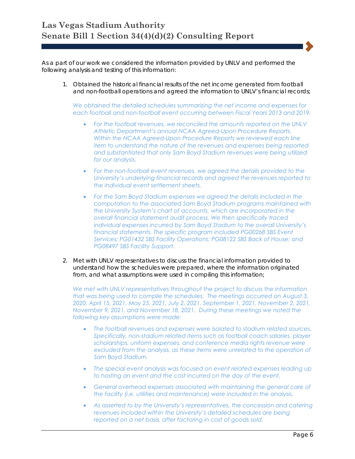As a part of our work we considered the information provided by UNLV and performed the following analysis and testing of this information:

1. Obtained the historical financial results of the net income generated from football and non-football operations and agreed the information to UNLV's financial records;

*We obtained the detailed schedules summarizing the net income and expenses for each football and non-football event occurring between Fiscal Years 2013 and 2019.* 

- *For the football revenues, we reconciled the amounts reported on the UNLV Athletic Department's annual NCAA Agreed-Upon Procedure Reports. Within the NCAA Agreed-Upon Procedure Reports we reviewed each line item to understand the nature of the revenues and expenses being reported and substantiated that only Sam Boyd Stadium revenues were being utilized for our analysis.*
- *For the non-football event revenues, we agreed the details provided to the University's underlying financial records and agreed the revenues reported to the individual event settlement sheets.*
- *For the Sam Boyd Stadium expenses we agreed the details included in the computation to the associated Sam Boyd Stadium programs maintained with the University System's chart of accounts, which are incorporated in the overall financial statement audit process. We then specifically traced individual expenses incurred by Sam Boyd Stadium to the overall University's financial statements. The specific program included PG00268 SBS Event Services; PG01432 SBS Facility Operations; PG08122 SBS Back of House; and PG08497 SBS Facility Support.*
- 2. Met with UNLV representatives to discuss the financial information provided to understand how the schedules were prepared, where the information originated from, and what assumptions were used in compiling this information;

*We met with UNLV representatives throughout the project to discuss the information that was being used to compile the schedules. The meetings occurred on August 3, 2020, April 15, 2021, May 25, 2021, July 2, 2021, September 1, 2021, November 2, 2021, November 9, 2021, and November 18, 2021. During these meetings we noted the following key assumptions were made:* 

- *The football revenues and expenses were isolated to stadium related sources. Specifically, non-stadium related items such as football coach salaries, player scholarships, uniform expenses, and conference media rights revenue were excluded from the analysis, as these items were unrelated to the operation of Sam Boyd Stadium.*
- *The special event analysis was focused on event related expenses leading up to hosting an event and the cost incurred on the day of the event.*
- *General overhead expenses associated with maintaining the general care of the facility (i.e. utilities and maintenance) were included in the analysis.*
- *As asserted to by the University's representatives, the concession and catering revenues included within the University's detailed schedules are being reported on a net basis, after factoring in cost of goods sold.*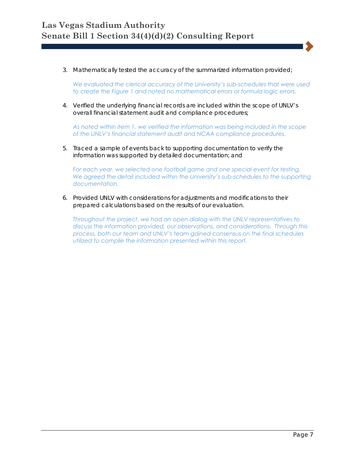3. Mathematically tested the accuracy of the summarized information provided;

*We evaluated the clerical accuracy of the University's sub-schedules that were used to create the Figure 1 and noted no mathematical errors or formula logic errors.* 

4. Verified the underlying financial records are included within the scope of UNLV's overall financial statement audit and compliance procedures;

*As noted within item 1, we verified the information was being included in the scope of the UNLV's financial statement audit and NCAA compliance procedures.* 

5. Traced a sample of events back to supporting documentation to verify the information was supported by detailed documentation; and

*For each year, we selected one football game and one special event for testing.*  We agreed the detail included within the University's sub-schedules to the supporting *documentation.* 

6. Provided UNLV with considerations for adjustments and modifications to their prepared calculations based on the results of our evaluation.

*Throughout the project, we had an open dialog with the UNLV representatives to discuss the information provided, our observations, and considerations. Through this process, both our team and UNLV's team gained consensus on the final schedules utilized to compile the information presented within this report.*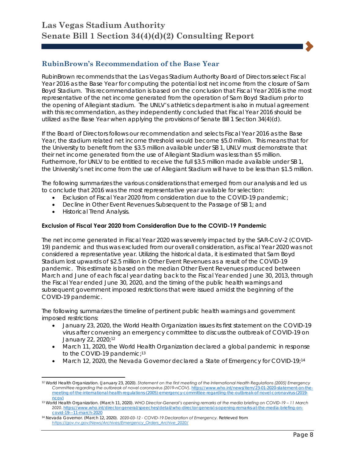## **RubinBrown's Recommendation of the Base Year**

RubinBrown recommends that the Las Vegas Stadium Authority Board of Directors select Fiscal Year 2016 as the Base Year for computing the potential lost net income from the closure of Sam Boyd Stadium. This recommendation is based on the conclusion that Fiscal Year 2016 is the most representative of the net income generated from the operation of Sam Boyd Stadium prior to the opening of Allegiant stadium. The UNLV's athletics department is also in mutual agreement with this recommendation, as they independently concluded that Fiscal Year 2016 should be utilized as the Base Year when applying the provisions of Senate Bill 1 Section 34(4)(d).

If the Board of Directors follows our recommendation and selects Fiscal Year 2016 as the Base Year, the stadium related net income threshold would become \$5.0 million. This means that for the University to benefit from the \$3.5 million available under SB 1, UNLV must demonstrate that their net income generated from the use of Allegiant Stadium was less than \$5 million. Furthermore, for UNLV to be entitled to receive the full \$3.5 million made available under SB 1, the University's net income from the use of Allegiant Stadium will have to be less than \$1.5 million.

The following summarizes the various considerations that emerged from our analysis and led us to conclude that 2016 was the most representative year available for selection:

- Exclusion of Fiscal Year 2020 from consideration due to the COVID-19 pandemic;
- Decline in Other Event Revenues Subsequent to the Passage of SB 1; and
- Historical Trend Analysis.

 $\overline{\phantom{a}}$ 

#### **Exclusion of Fiscal Year 2020 from Consideration Due to the COVID-19 Pandemic**

The net income generated in Fiscal Year 2020 was severely impacted by the SAR-CoV-2 (COVID-19) pandemic and thus was excluded from our overall consideration, as Fiscal Year 2020 was not considered a representative year. Utilizing the historical data, it is estimated that Sam Boyd Stadium lost upwards of \$2.5 million in Other Event Revenues as a result of the COVID-19 pandemic. This estimate is based on the median Other Event Revenues produced between March and June of each fiscal year dating back to the Fiscal Year ended June 30, 2013, through the Fiscal Year ended June 30, 2020, and the timing of the public health warnings and subsequent government imposed restrictions that were issued amidst the beginning of the COVID-19 pandemic.

The following summarizes the timeline of pertinent public health warnings and government imposed restrictions:

- January 23, 2020, the World Health Organization issues its first statement on the COVID-19 virus after convening an emergency committee to discuss the outbreak of COVID-19 on January 22, 2020;12
- March 11, 2020, the World Health Organization declared a global pandemic in response to the COVID-19 pandemic;<sup>13</sup>
- March 12, 2020, the Nevada Governor declared a State of Emergency for COVID-19;14

<sup>12</sup> World Health Organization. (January 23, 2020). *Statement on the first meeting of the International Health Regulations (2005) Emergency Committee regarding the outbreak of novel coronavirus (2019-nCOV)*. https://www.who.int/news/item/23-01-2020-statement-on-themeeting-of-the-international-health-regulations-(2005)-emergency-committee-regarding-the-outbreak-of-novel-coronavirus-(2019-

ncov) 13 World Health Organization. (March 11, 2020). *WHO Director-General's opening remarks at the media briefing on COVID-19 – 11 March 2020*. https://www.who.int/director-general/speeches/detail/who-director-general-s-opening-remarks-at-the-media-briefing-oncovid-19---11-march-2020

<sup>14</sup> Nevada Governor. (March 12, 2020). *2020-03-12 - COVID-19 Declaration of Emergency.* Retrieved from *https://gov.nv.gov/News/Archives/Emergency\_Orders\_Archive\_2020/*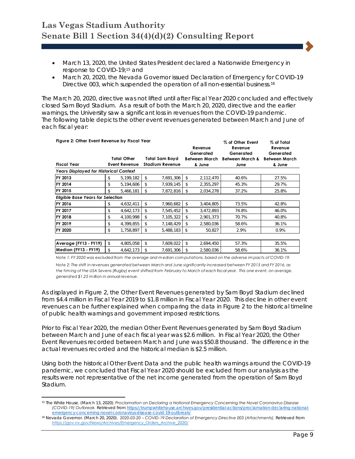- March 13, 2020, the United States President declared a Nationwide Emergency in response to COVID-19;15 and
- March 20, 2020, the Nevada Governor issued Declaration of Emergency for COVID-19 Directive 003, which suspended the operation of all non-essential business.16

The March 20, 2020, directive was not lifted until after Fiscal Year 2020 concluded and effectively closed Sam Boyd Stadium. As a result of both the March 20, 2020, directive and the earlier warnings, the University saw a significant loss in revenues from the COVID-19 pandemic. The following table depicts the other event revenues generated between March and June of each fiscal year:

|                                               |                        |                                              | % of Other Event | % of Total                                  |  |  |  |
|-----------------------------------------------|------------------------|----------------------------------------------|------------------|---------------------------------------------|--|--|--|
|                                               |                        | Revenue                                      | Revenue          | Revenue                                     |  |  |  |
|                                               |                        | Generated                                    | Generated        | Generated                                   |  |  |  |
| Total Other                                   | <b>Total Sam Boyd</b>  |                                              |                  | <b>Between March</b>                        |  |  |  |
| <b>Event Revenue</b>                          | <b>Stadium Revenue</b> | & June                                       | June             | & June                                      |  |  |  |
| <b>Years Displayed for Historical Context</b> |                        |                                              |                  |                                             |  |  |  |
| \$<br>5,199,182                               | \$<br>7,691,306        | \$<br>2,112,470                              | 40.6%            | 27.5%                                       |  |  |  |
| 5,194,606<br>\$                               | \$<br>7,939,145        | \$<br>2,355,297                              | 45.3%            | 29.7%                                       |  |  |  |
| \$<br>5,466,181                               | 7,872,816<br>\$        | 2,034,278<br>\$                              | 37.2%            | 25.8%                                       |  |  |  |
| <b>Eligible Base Years for Selection</b>      |                        |                                              |                  |                                             |  |  |  |
| 4,632,411<br>\$                               | \$<br>7,960,682        | \$<br>3,404,805                              | 73.5%            | 42.8%                                       |  |  |  |
| \$<br>4,642,173                               | \$<br>7,545,452        | \$<br>3,472,893                              | 74.8%            | 46.0%                                       |  |  |  |
| \$<br>4,100,998                               | \$<br>7,105,322        | \$<br>2,901,373                              | 70.7%            | 40.8%                                       |  |  |  |
| \$<br>4,399,855                               | \$<br>7,148,429        | \$<br>2,580,036                              | 58.6%            | 36.1%                                       |  |  |  |
| \$<br>1,758,897                               | 5,488,183<br>\$        | \$<br>50,827                                 | 2.9%             | 0.9%                                        |  |  |  |
|                                               |                        |                                              |                  |                                             |  |  |  |
| \$<br>4,805,058                               | \$<br>7,609,022        | \$<br>2,694,450                              | 57.3%            | 35.5%                                       |  |  |  |
| \$<br>4,642,173                               | \$<br>7,691,306        | \$<br>2,580,036                              | 58.6%            | 36.1%                                       |  |  |  |
|                                               |                        | Figure 2: Other Event Revenue by Fiscal Year |                  | Between March<br><b>Between March &amp;</b> |  |  |  |

*Note 2: The shift in revenues generated between March and June significantly increased between FY 2015 and FY 2016, as the tim ing of the USA Sevens (Rugby) event shifted from February to March of each fiscal year. This one event, on average, generated \$1.25 m illion in annual revenue. Note 1: FY 2020 was excluded from the average and m edian com putations, based on the adverse im pacts of COVID-19.*

As displayed in Figure 2, the Other Event Revenues generated by Sam Boyd Stadium declined from \$4.4 million in Fiscal Year 2019 to \$1.8 million in Fiscal Year 2020. This decline in other event revenues can be further explained when comparing the data in Figure 2 to the historical timeline of public health warnings and government imposed restrictions.

Prior to Fiscal Year 2020, the median Other Event Revenues generated by Sam Boyd Stadium between March and June of each fiscal year was \$2.6 million. In Fiscal Year 2020, the Other Event Revenues recorded between March and June was \$50.8 thousand. The difference in the actual revenues recorded and the historical median is \$2.5 million.

Using both the historical Other Event Data and the public health warnings around the COVID-19 pandemic, we concluded that Fiscal Year 2020 should be excluded from our analysis as the results were not representative of the net income generated from the operation of Sam Boyd Stadium.

 $\overline{a}$ 

<sup>15</sup> The White House. (March 13, 2020). *Proclamation on Declaring a National Emergency Concerning the Novel Coronavirus Disease (COVID-19) Outbreak.* Retrieved from https://trumpwhitehouse.archives.gov/presidential-actions/proclamation-declaring-national-

emergency-concerning-novel-coronavirus-disease-covid-19-outbreak/ 16 Nevada Governor. (March 20, 2020). *2020-03-20 – COVID-19 Declaration of Emergency Directive 003 (Attachments).* Retrieved from *https://gov.nv.gov/News/Archives/Emergency\_Orders\_Archive\_2020/*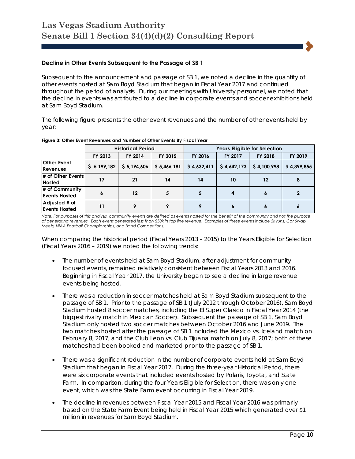#### **Decline in Other Events Subsequent to the Passage of SB 1**

Subsequent to the announcement and passage of SB 1, we noted a decline in the quantity of other events hosted at Sam Boyd Stadium that began in Fiscal Year 2017 and continued throughout the period of analysis. During our meetings with University personnel, we noted that the decline in events was attributed to a decline in corporate events and soccer exhibitions held at Sam Boyd Stadium.

The following figure presents the other event revenues and the number of other events held by year:

|                                        |             | <b>Historical Period</b> |             | <b>Years Eligible for Selection</b> |             |                   |             |  |  |
|----------------------------------------|-------------|--------------------------|-------------|-------------------------------------|-------------|-------------------|-------------|--|--|
|                                        | FY 2013     | FY 2014                  | FY 2015     | FY 2016                             | FY 2017     | FY 2018           | FY 2019     |  |  |
| <b>Other Event</b><br><b>Revenues</b>  | \$5,199,182 | \$5,194,606              | \$5,466,181 | \$4,632,411                         | \$4,642,173 | \$4,100,998       | \$4,399,855 |  |  |
| # of Other Events<br><b>Hosted</b>     | 17          | 21                       | 14          | 14                                  | 10          | $12 \overline{ }$ | 8           |  |  |
| # of Community<br><b>Events Hosted</b> | 6           | $12 \,$                  | 5           |                                     | 4           |                   |             |  |  |
| Adjusted # of<br><b>Events Hosted</b>  | 11          |                          |             |                                     | 6           |                   |             |  |  |

#### **Figure 3: Other Event Revenues and Number of Other Events By Fiscal Year**

*Note: For purposes of this analysis, community events are defined as events hosted for the benefit of the community and not the purpose of generating revenues. Each event generated less than \$50k in top line revenue. Examples of these events include 5k runs, Car Swap Meets, NIAA Football Championships, and Band Competitions.* 

When comparing the historical period (Fiscal Years 2013 – 2015) to the Years Eligible for Selection (Fiscal Years 2016 – 2019) we noted the following trends:

- The number of events held at Sam Boyd Stadium, after adjustment for community focused events, remained relatively consistent between Fiscal Years 2013 and 2016. Beginning in Fiscal Year 2017, the University began to see a decline in large revenue events being hosted.
- There was a reduction in soccer matches held at Sam Boyd Stadium subsequent to the passage of SB 1. Prior to the passage of SB 1 (July 2012 through October 2016), Sam Boyd Stadium hosted 8 soccer matches, including the El Super Clasico in Fiscal Year 2014 (the biggest rivalry match in Mexican Soccer). Subsequent the passage of SB 1, Sam Boyd Stadium only hosted two soccer matches between October 2016 and June 2019. The two matches hosted after the passage of SB 1 included the Mexico vs. Iceland match on February 8, 2017, and the Club Leon vs. Club Tijuana match on July 8, 2017; both of these matches had been booked and marketed prior to the passage of SB 1.
- There was a significant reduction in the number of corporate events held at Sam Boyd Stadium that began in Fiscal Year 2017. During the three-year Historical Period, there were six corporate events that included events hosted by Polaris, Toyota, and State Farm. In comparison, during the four Years Eligible for Selection, there was only one event, which was the State Farm event occurring in Fiscal Year 2019.
- The decline in revenues between Fiscal Year 2015 and Fiscal Year 2016 was primarily based on the State Farm Event being held in Fiscal Year 2015 which generated over \$1 million in revenues for Sam Boyd Stadium.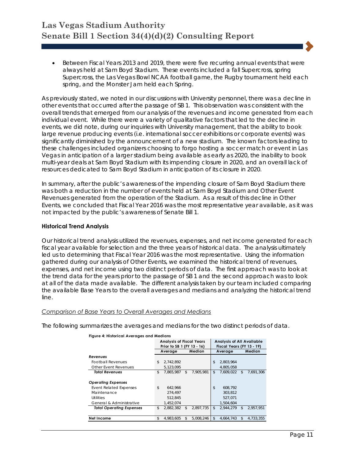• Between Fiscal Years 2013 and 2019, there were five recurring annual events that were always held at Sam Boyd Stadium. These events included a fall Supercross, spring Supercross, the Las Vegas Bowl NCAA football game, the Rugby tournament held each spring, and the Monster Jam held each Spring.

As previously stated, we noted in our discussions with University personnel, there was a decline in other events that occurred after the passage of SB 1. This observation was consistent with the overall trends that emerged from our analysis of the revenues and income generated from each individual event. While there were a variety of qualitative factors that led to the decline in events, we did note, during our inquiries with University management, that the ability to book large revenue producing events (i.e. international soccer exhibitions or corporate events) was significantly diminished by the announcement of a new stadium. The known factors leading to these challenges included organizers choosing to forgo hosting a soccer match or event in Las Vegas in anticipation of a larger stadium being available as early as 2020, the inability to book multi-year deals at Sam Boyd Stadium with its impending closure in 2020, and an overall lack of resources dedicated to Sam Boyd Stadium in anticipation of its closure in 2020.

In summary, after the public's awareness of the impending closure of Sam Boyd Stadium there was both a reduction in the number of events held at Sam Boyd Stadium and Other Event Revenues generated from the operation of the Stadium. As a result of this decline in Other Events, we concluded that Fiscal Year 2016 was the most representative year available, as it was not impacted by the public's awareness of Senate Bill 1.

#### **Historical Trend Analysis**

Our historical trend analysis utilized the revenues, expenses, and net income generated for each fiscal year available for selection and the three years of historical data. The analysis ultimately led us to determining that Fiscal Year 2016 was the most representative. Using the information gathered during our analysis of Other Events, we examined the historical trend of revenues, expenses, and net income using two distinct periods of data. The first approach was to look at the trend data for the years prior to the passage of SB 1 and the second approach was to look at all of the data made available. The different analysis taken by our team included comparing the available Base Years to the overall averages and medians and analyzing the historical trend line.

#### *Comparison of Base Years to Overall Averages and Medians*

The following summarizes the averages and medians for the two distinct periods of data.

| rigure 4. Historical Averages and Medians |                                                               |           |    |                                                               |                |           |    |           |
|-------------------------------------------|---------------------------------------------------------------|-----------|----|---------------------------------------------------------------|----------------|-----------|----|-----------|
|                                           | <b>Analysis of Fiscal Years</b><br>Prior to SB 1 (FY 13 - 16) |           |    | <b>Analysis of All Available</b><br>Fiscal Years (FY 13 - 19) |                |           |    |           |
|                                           | Average                                                       |           |    | Median                                                        |                | Average   |    | Median    |
| Revenues                                  |                                                               |           |    |                                                               |                |           |    |           |
| <b>Football Revenues</b>                  | \$                                                            | 2,742,892 |    |                                                               | \$             | 2,803,964 |    |           |
| Other Event Revenues                      |                                                               | 5,123,095 |    |                                                               |                | 4.805.058 |    |           |
| <b>Total Revenues</b>                     | \$                                                            | 7,865,987 | \$ | 7.905.981                                                     | \$             | 7,609,022 | \$ | 7.691.306 |
|                                           |                                                               |           |    |                                                               |                |           |    |           |
| <b>Operating Expenses</b>                 |                                                               |           |    |                                                               |                |           |    |           |
| <b>Event Related Expenses</b>             | \$                                                            | 642.966   |    |                                                               | \$             | 608.792   |    |           |
| Maintenance                               |                                                               | 274,497   |    |                                                               |                | 303.812   |    |           |
| <b>Utilities</b>                          |                                                               | 512,845   |    |                                                               |                | 527,071   |    |           |
| General & Administrative                  |                                                               | 1.452.074 |    |                                                               |                | 1.504.604 |    |           |
| <b>Total Operating Expenses</b>           | \$                                                            | 2,882,382 | \$ | 2,897,735                                                     | $\mathfrak{L}$ | 2,944,279 | \$ | 2,957,951 |
|                                           |                                                               |           |    |                                                               |                |           |    |           |
| Net Income                                | \$                                                            | 4.983.605 | S. | 5.008.246                                                     | \$             | 4.664.743 | \$ | 4.733.355 |

**Figure 4: Historical Averages and Medians**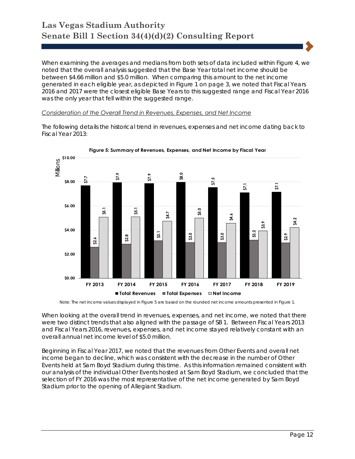When examining the averages and medians from both sets of data included within Figure 4, we noted that the overall analysis suggested that the Base Year total net income should be between \$4.66 million and \$5.0 million. When comparing this amount to the net income generated in each eligible year, as depicted in Figure 1 on page 3, we noted that Fiscal Years 2016 and 2017 were the closest eligible Base Years to this suggested range and Fiscal Year 2016 was the only year that fell within the suggested range.

#### *Consideration of the Overall Trend in Revenues, Expenses, and Net Income*

The following details the historical trend in revenues, expenses and net income dating back to Fiscal Year 2013:





Note: The net income values displayed in Figure 5 are based on the rounded net income amounts presented in Figure 1.

When looking at the overall trend in revenues, expenses, and net income, we noted that there were two distinct trends that also aligned with the passage of SB 1. Between Fiscal Years 2013 and Fiscal Years 2016, revenues, expenses, and net income stayed relatively constant with an overall annual net income level of \$5.0 million.

Beginning in Fiscal Year 2017, we noted that the revenues from Other Events and overall net income began to decline, which was consistent with the decrease in the number of Other Events held at Sam Boyd Stadium during this time. As this information remained consistent with our analysis of the individual Other Events hosted at Sam Boyd Stadium, we concluded that the selection of FY 2016 was the most representative of the net income generated by Sam Boyd Stadium prior to the opening of Allegiant Stadium.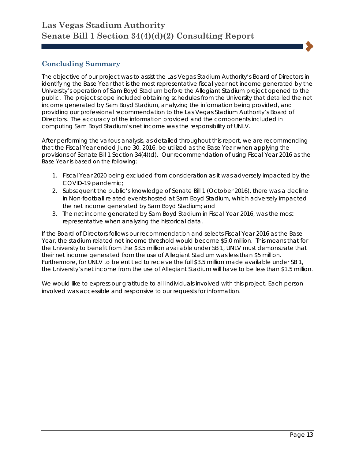# **Concluding Summary**

The objective of our project was to assist the Las Vegas Stadium Authority's Board of Directors in identifying the Base Year that is the most representative fiscal year net income generated by the University's operation of Sam Boyd Stadium before the Allegiant Stadium project opened to the public. The project scope included obtaining schedules from the University that detailed the net income generated by Sam Boyd Stadium, analyzing the information being provided, and providing our professional recommendation to the Las Vegas Stadium Authority's Board of Directors. The accuracy of the information provided and the components included in computing Sam Boyd Stadium's net income was the responsibility of UNLV.

After performing the various analysis, as detailed throughout this report, we are recommending that the Fiscal Year ended June 30, 2016, be utilized as the Base Year when applying the provisions of Senate Bill 1 Section 34(4)(d). Our recommendation of using Fiscal Year 2016 as the Base Year is based on the following:

- 1. Fiscal Year 2020 being excluded from consideration as it was adversely impacted by the COVID-19 pandemic;
- 2. Subsequent the public's knowledge of Senate Bill 1 (October 2016), there was a decline in Non-football related events hosted at Sam Boyd Stadium, which adversely impacted the net income generated by Sam Boyd Stadium; and
- 3. The net income generated by Sam Boyd Stadium in Fiscal Year 2016, was the most representative when analyzing the historical data.

If the Board of Directors follows our recommendation and selects Fiscal Year 2016 as the Base Year, the stadium related net income threshold would become \$5.0 million. This means that for the University to benefit from the \$3.5 million available under SB 1, UNLV must demonstrate that their net income generated from the use of Allegiant Stadium was less than \$5 million. Furthermore, for UNLV to be entitled to receive the full \$3.5 million made available under SB 1, the University's net income from the use of Allegiant Stadium will have to be less than \$1.5 million.

We would like to express our gratitude to all individuals involved with this project. Each person involved was accessible and responsive to our requests for information.